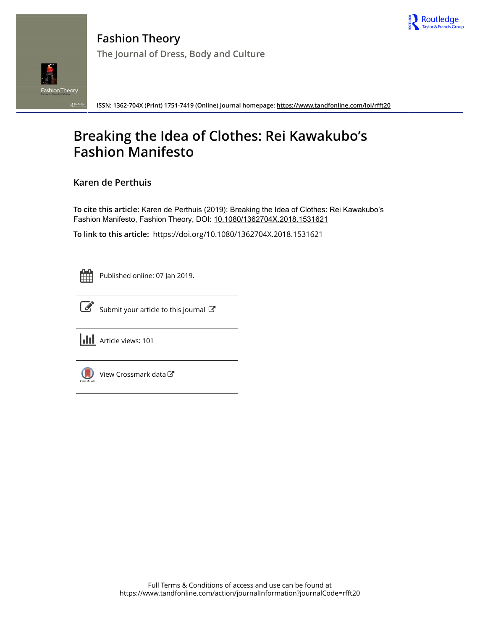

**Fashion Theory The Journal of Dress, Body and Culture**



**ISSN: 1362-704X (Print) 1751-7419 (Online) Journal homepage: <https://www.tandfonline.com/loi/rfft20>**

## **Breaking the Idea of Clothes: Rei Kawakubo's Fashion Manifesto**

**Karen de Perthuis**

**To cite this article:** Karen de Perthuis (2019): Breaking the Idea of Clothes: Rei Kawakubo's Fashion Manifesto, Fashion Theory, DOI: [10.1080/1362704X.2018.1531621](https://www.tandfonline.com/action/showCitFormats?doi=10.1080/1362704X.2018.1531621)

**To link to this article:** <https://doi.org/10.1080/1362704X.2018.1531621>



Published online: 07 Jan 2019.



 $\overrightarrow{S}$  [Submit your article to this journal](https://www.tandfonline.com/action/authorSubmission?journalCode=rfft20&show=instructions)  $\overrightarrow{S}$ 





 $\bigcirc$  [View Crossmark data](http://crossmark.crossref.org/dialog/?doi=10.1080/1362704X.2018.1531621&domain=pdf&date_stamp=2019-01-07) $\mathbb{Z}$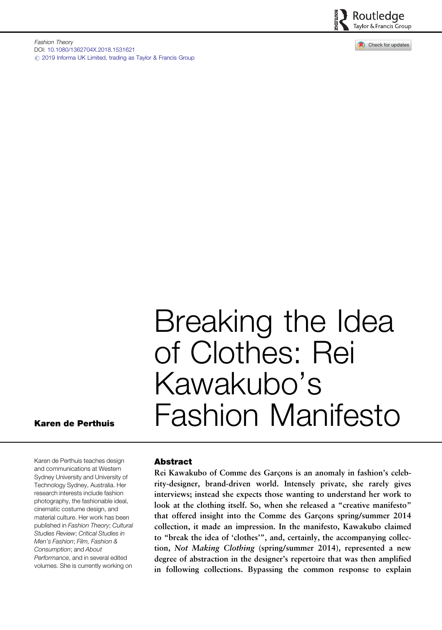

Fashion Theory DOI: [10.1080/1362704X.2018.1531621](https://doi.org./10.1080/1362704X.2018.1531621)  $\oslash$  2019 Informa UK Limited, trading as Taylor & Francis Group

Check for updates

# Breaking the Idea of Clothes: Rei Kawakubo's Karen de Perthuis Fashion Manifesto

Karen de Perthuis teaches design and communications at Western Sydney University and University of Technology Sydney, Australia. Her research interests include fashion photography, the fashionable ideal, cinematic costume design, and material culture. Her work has been published in Fashion Theory; Cultural Studies Review; Critical Studies in Men's Fashion; Film, Fashion & Consumption; and About Performance, and in several edited volumes. She is currently working on

### Abstract

Rei Kawakubo of Comme des Garçons is an anomaly in fashion's celebrity-designer, brand-driven world. Intensely private, she rarely gives interviews; instead she expects those wanting to understand her work to look at the clothing itself. So, when she released a "creative manifesto" that offered insight into the Comme des Garcons spring/summer 2014 collection, it made an impression. In the manifesto, Kawakubo claimed to "break the idea of 'clothes'", and, certainly, the accompanying collection, Not Making Clothing (spring/summer 2014), represented a new degree of abstraction in the designer's repertoire that was then amplified in following collections. Bypassing the common response to explain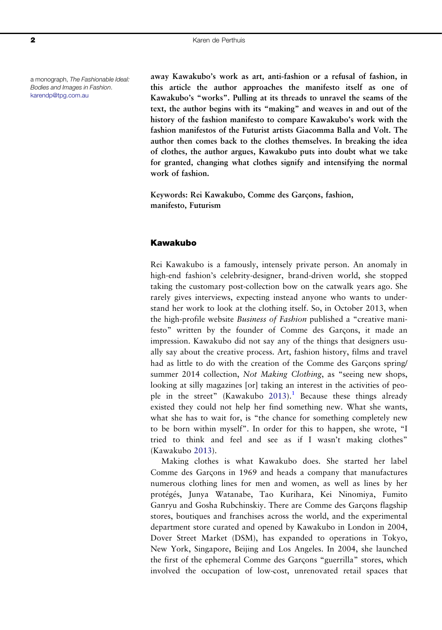<span id="page-2-0"></span>a monograph, The Fashionable Ideal: Bodies and Images in Fashion. karendp@tpg.com.au

away Kawakubo's work as art, anti-fashion or a refusal of fashion, in this article the author approaches the manifesto itself as one of Kawakubo's "works". Pulling at its threads to unravel the seams of the text, the author begins with its "making" and weaves in and out of the history of the fashion manifesto to compare Kawakubo's work with the fashion manifestos of the Futurist artists Giacomma Balla and Volt. The author then comes back to the clothes themselves. In breaking the idea of clothes, the author argues, Kawakubo puts into doubt what we take for granted, changing what clothes signify and intensifying the normal work of fashion.

Keywords: Rei Kawakubo, Comme des Garcons, fashion, manifesto, Futurism

#### Kawakubo

Rei Kawakubo is a famously, intensely private person. An anomaly in high-end fashion's celebrity-designer, brand-driven world, she stopped taking the customary post-collection bow on the catwalk years ago. She rarely gives interviews, expecting instead anyone who wants to understand her work to look at the clothing itself. So, in October 2013, when the high-profile website Business of Fashion published a "creative manifesto" written by the founder of Comme des Garçons, it made an impression. Kawakubo did not say any of the things that designers usually say about the creative process. Art, fashion history, films and travel had as little to do with the creation of the Comme des Garcons spring/ summer 2014 collection, Not Making Clothing, as "seeing new shops, looking at silly magazines [or] taking an interest in the activities of peo-ple in the street" (Kawakubo [2013](#page-18-0)).<sup>[1](#page-15-0)</sup> Because these things already existed they could not help her find something new. What she wants, what she has to wait for, is "the chance for something completely new to be born within myself". In order for this to happen, she wrote, "I tried to think and feel and see as if I wasn't making clothes" (Kawakubo [2013\)](#page-18-0).

Making clothes is what Kawakubo does. She started her label Comme des Garcons in 1969 and heads a company that manufactures numerous clothing lines for men and women, as well as lines by her proteges, Junya Watanabe, Tao Kurihara, Kei Ninomiya, Fumito Ganryu and Gosha Rubchinskiy. There are Comme des Garçons flagship stores, boutiques and franchises across the world, and the experimental department store curated and opened by Kawakubo in London in 2004, Dover Street Market (DSM), has expanded to operations in Tokyo, New York, Singapore, Beijing and Los Angeles. In 2004, she launched the first of the ephemeral Comme des Garçons "guerrilla" stores, which involved the occupation of low-cost, unrenovated retail spaces that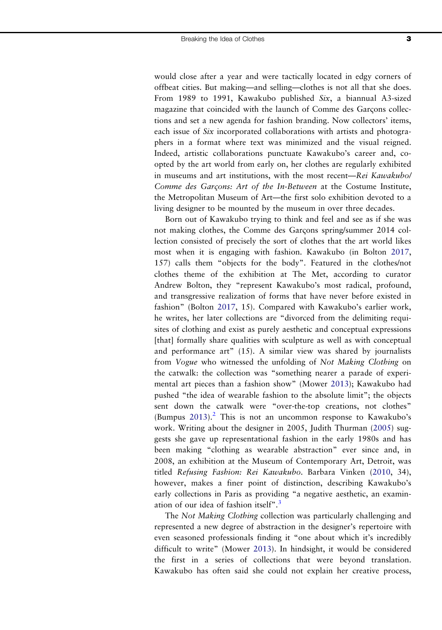Breaking the Idea of Clothes 3

<span id="page-3-0"></span>would close after a year and were tactically located in edgy corners of offbeat cities. But making—and selling—clothes is not all that she does. From 1989 to 1991, Kawakubo published Six, a biannual A3-sized magazine that coincided with the launch of Comme des Garcons collections and set a new agenda for fashion branding. Now collectors' items, each issue of Six incorporated collaborations with artists and photographers in a format where text was minimized and the visual reigned. Indeed, artistic collaborations punctuate Kawakubo's career and, coopted by the art world from early on, her clothes are regularly exhibited in museums and art institutions, with the most recent—Rei Kawakubo/ Comme des Garcons: Art of the In-Between at the Costume Institute, the Metropolitan Museum of Art—the first solo exhibition devoted to a living designer to be mounted by the museum in over three decades.

Born out of Kawakubo trying to think and feel and see as if she was not making clothes, the Comme des Garçons spring/summer 2014 collection consisted of precisely the sort of clothes that the art world likes most when it is engaging with fashion. Kawakubo (in Bolton [2017,](#page-17-0) 157) calls them "objects for the body". Featured in the clothes/not clothes theme of the exhibition at The Met, according to curator Andrew Bolton, they "represent Kawakubo's most radical, profound, and transgressive realization of forms that have never before existed in fashion" (Bolton [2017,](#page-17-0) 15). Compared with Kawakubo's earlier work, he writes, her later collections are "divorced from the delimiting requisites of clothing and exist as purely aesthetic and conceptual expressions [that] formally share qualities with sculpture as well as with conceptual and performance art" (15). A similar view was shared by journalists from Vogue who witnessed the unfolding of Not Making Clothing on the catwalk: the collection was "something nearer a parade of experimental art pieces than a fashion show" (Mower [2013](#page-18-0)); Kawakubo had pushed "the idea of wearable fashion to the absolute limit"; the objects sent down the catwalk were "over-the-top creations, not clothes" (Bumpus  $2013$  $2013$ ).<sup>2</sup> This is not an uncommon response to Kawakubo's work. Writing about the designer in 2005, Judith Thurman ([2005\)](#page-18-0) suggests she gave up representational fashion in the early 1980s and has been making "clothing as wearable abstraction" ever since and, in 2008, an exhibition at the Museum of Contemporary Art, Detroit, was titled Refusing Fashion: Rei Kawakubo. Barbara Vinken ([2010,](#page-19-0) 34), however, makes a finer point of distinction, describing Kawakubo's early collections in Paris as providing "a negative aesthetic, an examin-ation of our idea of fashion itself".<sup>[3](#page-15-0)</sup>

The Not Making Clothing collection was particularly challenging and represented a new degree of abstraction in the designer's repertoire with even seasoned professionals finding it "one about which it's incredibly difficult to write" (Mower [2013](#page-18-0)). In hindsight, it would be considered the first in a series of collections that were beyond translation. Kawakubo has often said she could not explain her creative process,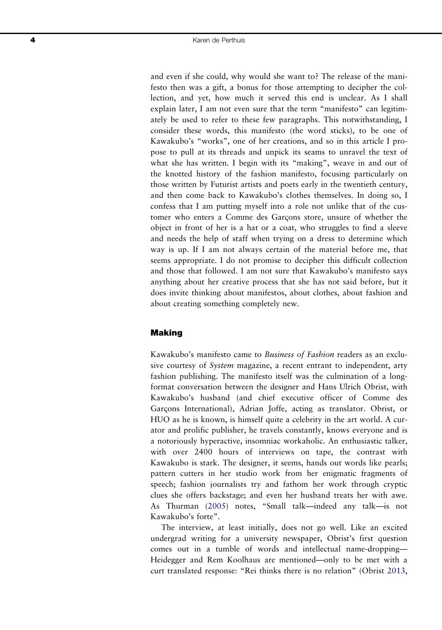<span id="page-4-0"></span>and even if she could, why would she want to? The release of the manifesto then was a gift, a bonus for those attempting to decipher the collection, and yet, how much it served this end is unclear. As I shall explain later, I am not even sure that the term "manifesto" can legitimately be used to refer to these few paragraphs. This notwithstanding, I consider these words, this manifesto (the word sticks), to be one of Kawakubo's "works", one of her creations, and so in this article I propose to pull at its threads and unpick its seams to unravel the text of what she has written. I begin with its "making", weave in and out of the knotted history of the fashion manifesto, focusing particularly on those written by Futurist artists and poets early in the twentieth century, and then come back to Kawakubo's clothes themselves. In doing so, I confess that I am putting myself into a role not unlike that of the customer who enters a Comme des Garçons store, unsure of whether the object in front of her is a hat or a coat, who struggles to find a sleeve and needs the help of staff when trying on a dress to determine which way is up. If I am not always certain of the material before me, that seems appropriate. I do not promise to decipher this difficult collection and those that followed. I am not sure that Kawakubo's manifesto says anything about her creative process that she has not said before, but it does invite thinking about manifestos, about clothes, about fashion and about creating something completely new.

## Making

Kawakubo's manifesto came to Business of Fashion readers as an exclusive courtesy of System magazine, a recent entrant to independent, arty fashion publishing. The manifesto itself was the culmination of a longformat conversation between the designer and Hans Ulrich Obrist, with Kawakubo's husband (and chief executive officer of Comme des Garçons International), Adrian Joffe, acting as translator. Obrist, or HUO as he is known, is himself quite a celebrity in the art world. A curator and prolific publisher, he travels constantly, knows everyone and is a notoriously hyperactive, insomniac workaholic. An enthusiastic talker, with over 2400 hours of interviews on tape, the contrast with Kawakubo is stark. The designer, it seems, hands out words like pearls; pattern cutters in her studio work from her enigmatic fragments of speech; fashion journalists try and fathom her work through cryptic clues she offers backstage; and even her husband treats her with awe. As Thurman [\(2005](#page-18-0)) notes, "Small talk—indeed any talk—is not Kawakubo's forte".

The interview, at least initially, does not go well. Like an excited undergrad writing for a university newspaper, Obrist's first question comes out in a tumble of words and intellectual name-dropping— Heidegger and Rem Koolhaus are mentioned—only to be met with a curt translated response: "Rei thinks there is no relation" (Obrist [2013](#page-18-0),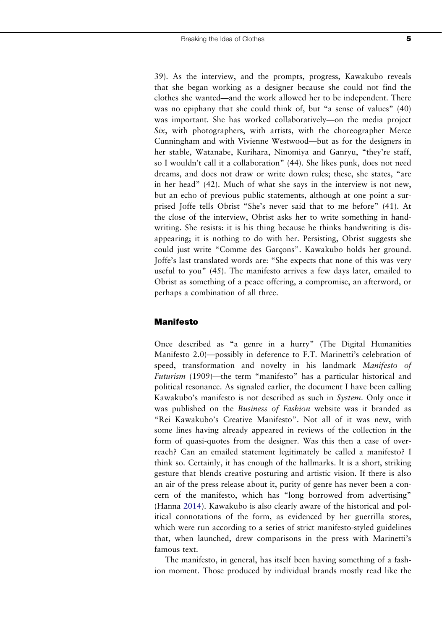Breaking the Idea of Clothes **5** 

<span id="page-5-0"></span>39). As the interview, and the prompts, progress, Kawakubo reveals that she began working as a designer because she could not find the clothes she wanted—and the work allowed her to be independent. There was no epiphany that she could think of, but "a sense of values" (40) was important. She has worked collaboratively—on the media project Six, with photographers, with artists, with the choreographer Merce Cunningham and with Vivienne Westwood—but as for the designers in her stable, Watanabe, Kurihara, Ninomiya and Ganryu, "they're staff, so I wouldn't call it a collaboration" (44). She likes punk, does not need dreams, and does not draw or write down rules; these, she states, "are in her head" (42). Much of what she says in the interview is not new, but an echo of previous public statements, although at one point a surprised Joffe tells Obrist "She's never said that to me before" (41). At the close of the interview, Obrist asks her to write something in handwriting. She resists: it is his thing because he thinks handwriting is disappearing; it is nothing to do with her. Persisting, Obrist suggests she could just write "Comme des Garçons". Kawakubo holds her ground. Joffe's last translated words are: "She expects that none of this was very useful to you" (45). The manifesto arrives a few days later, emailed to Obrist as something of a peace offering, a compromise, an afterword, or perhaps a combination of all three.

#### Manifesto

Once described as "a genre in a hurry" (The Digital Humanities Manifesto 2.0)—possibly in deference to F.T. Marinetti's celebration of speed, transformation and novelty in his landmark Manifesto of Futurism (1909)—the term "manifesto" has a particular historical and political resonance. As signaled earlier, the document I have been calling Kawakubo's manifesto is not described as such in System. Only once it was published on the Business of Fashion website was it branded as "Rei Kawakubo's Creative Manifesto". Not all of it was new, with some lines having already appeared in reviews of the collection in the form of quasi-quotes from the designer. Was this then a case of overreach? Can an emailed statement legitimately be called a manifesto? I think so. Certainly, it has enough of the hallmarks. It is a short, striking gesture that blends creative posturing and artistic vision. If there is also an air of the press release about it, purity of genre has never been a concern of the manifesto, which has "long borrowed from advertising" (Hanna [2014\)](#page-18-0). Kawakubo is also clearly aware of the historical and political connotations of the form, as evidenced by her guerrilla stores, which were run according to a series of strict manifesto-styled guidelines that, when launched, drew comparisons in the press with Marinetti's famous text.

The manifesto, in general, has itself been having something of a fashion moment. Those produced by individual brands mostly read like the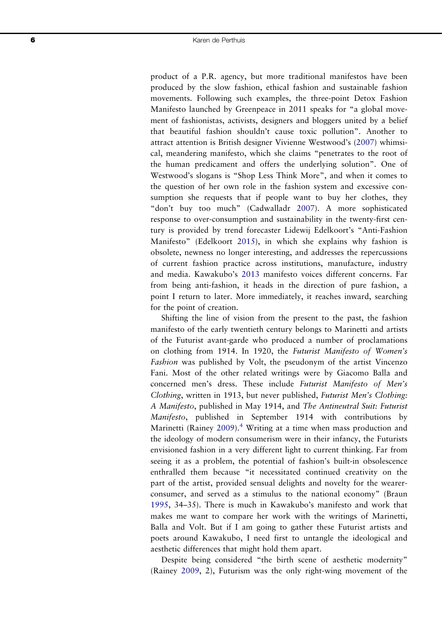<span id="page-6-0"></span>product of a P.R. agency, but more traditional manifestos have been produced by the slow fashion, ethical fashion and sustainable fashion movements. Following such examples, the three-point Detox Fashion Manifesto launched by Greenpeace in 2011 speaks for "a global movement of fashionistas, activists, designers and bloggers united by a belief that beautiful fashion shouldn't cause toxic pollution". Another to attract attention is British designer Vivienne Westwood's ([2007\)](#page-19-0) whimsical, meandering manifesto, which she claims "penetrates to the root of the human predicament and offers the underlying solution". One of Westwood's slogans is "Shop Less Think More", and when it comes to the question of her own role in the fashion system and excessive consumption she requests that if people want to buy her clothes, they "don't buy too much" (Cadwalladr [2007](#page-17-0)). A more sophisticated response to over-consumption and sustainability in the twenty-first century is provided by trend forecaster Lidewij Edelkoort's "Anti-Fashion Manifesto" (Edelkoort [2015\)](#page-17-0), in which she explains why fashion is obsolete, newness no longer interesting, and addresses the repercussions of current fashion practice across institutions, manufacture, industry and media. Kawakubo's [2013](#page-18-0) manifesto voices different concerns. Far from being anti-fashion, it heads in the direction of pure fashion, a point I return to later. More immediately, it reaches inward, searching for the point of creation.

Shifting the line of vision from the present to the past, the fashion manifesto of the early twentieth century belongs to Marinetti and artists of the Futurist avant-garde who produced a number of proclamations on clothing from 1914. In 1920, the Futurist Manifesto of Women's Fashion was published by Volt, the pseudonym of the artist Vincenzo Fani. Most of the other related writings were by Giacomo Balla and concerned men's dress. These include Futurist Manifesto of Men's Clothing, written in 1913, but never published, Futurist Men's Clothing: A Manifesto, published in May 1914, and The Antineutral Suit: Futurist Manifesto, published in September 1914 with contributions by Marinetti (Rainey [2009\)](#page-18-0).<sup>[4](#page-16-0)</sup> Writing at a time when mass production and the ideology of modern consumerism were in their infancy, the Futurists envisioned fashion in a very different light to current thinking. Far from seeing it as a problem, the potential of fashion's built-in obsolescence enthralled them because "it necessitated continued creativity on the part of the artist, provided sensual delights and novelty for the wearerconsumer, and served as a stimulus to the national economy" (Braun [1995](#page-17-0), 34–35). There is much in Kawakubo's manifesto and work that makes me want to compare her work with the writings of Marinetti, Balla and Volt. But if I am going to gather these Futurist artists and poets around Kawakubo, I need first to untangle the ideological and aesthetic differences that might hold them apart.

Despite being considered "the birth scene of aesthetic modernity" (Rainey [2009](#page-18-0), 2), Futurism was the only right-wing movement of the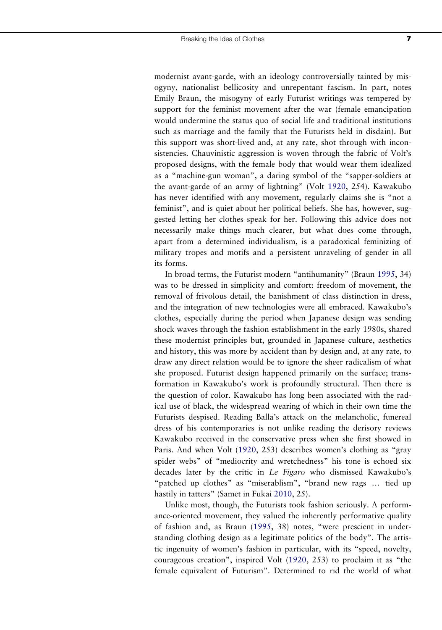<span id="page-7-0"></span>modernist avant-garde, with an ideology controversially tainted by misogyny, nationalist bellicosity and unrepentant fascism. In part, notes Emily Braun, the misogyny of early Futurist writings was tempered by support for the feminist movement after the war (female emancipation would undermine the status quo of social life and traditional institutions such as marriage and the family that the Futurists held in disdain). But this support was short-lived and, at any rate, shot through with inconsistencies. Chauvinistic aggression is woven through the fabric of Volt's proposed designs, with the female body that would wear them idealized as a "machine-gun woman", a daring symbol of the "sapper-soldiers at the avant-garde of an army of lightning" (Volt [1920](#page-19-0), 254). Kawakubo has never identified with any movement, regularly claims she is "not a feminist", and is quiet about her political beliefs. She has, however, suggested letting her clothes speak for her. Following this advice does not necessarily make things much clearer, but what does come through, apart from a determined individualism, is a paradoxical feminizing of military tropes and motifs and a persistent unraveling of gender in all its forms.

In broad terms, the Futurist modern "antihumanity" (Braun [1995](#page-17-0), 34) was to be dressed in simplicity and comfort: freedom of movement, the removal of frivolous detail, the banishment of class distinction in dress, and the integration of new technologies were all embraced. Kawakubo's clothes, especially during the period when Japanese design was sending shock waves through the fashion establishment in the early 1980s, shared these modernist principles but, grounded in Japanese culture, aesthetics and history, this was more by accident than by design and, at any rate, to draw any direct relation would be to ignore the sheer radicalism of what she proposed. Futurist design happened primarily on the surface; transformation in Kawakubo's work is profoundly structural. Then there is the question of color. Kawakubo has long been associated with the radical use of black, the widespread wearing of which in their own time the Futurists despised. Reading Balla's attack on the melancholic, funereal dress of his contemporaries is not unlike reading the derisory reviews Kawakubo received in the conservative press when she first showed in Paris. And when Volt ([1920,](#page-19-0) 253) describes women's clothing as "gray spider webs" of "mediocrity and wretchedness" his tone is echoed six decades later by the critic in Le Figaro who dismissed Kawakubo's "patched up clothes" as "miserablism", "brand new rags … tied up hastily in tatters" (Samet in Fukai [2010,](#page-17-0) 25).

Unlike most, though, the Futurists took fashion seriously. A performance-oriented movement, they valued the inherently performative quality of fashion and, as Braun ([1995,](#page-17-0) 38) notes, "were prescient in understanding clothing design as a legitimate politics of the body". The artistic ingenuity of women's fashion in particular, with its "speed, novelty, courageous creation", inspired Volt [\(1920](#page-19-0), 253) to proclaim it as "the female equivalent of Futurism". Determined to rid the world of what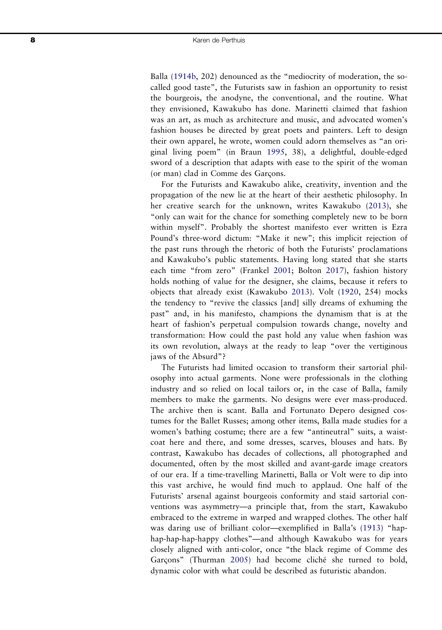<span id="page-8-0"></span>8 Karen de Perthuis

Balla ([1914b,](#page-16-0) 202) denounced as the "mediocrity of moderation, the socalled good taste", the Futurists saw in fashion an opportunity to resist the bourgeois, the anodyne, the conventional, and the routine. What they envisioned, Kawakubo has done. Marinetti claimed that fashion was an art, as much as architecture and music, and advocated women ' s fashion houses be directed by great poets and painters. Left to design their own apparel, he wrote, women could adorn themselves as "an original living poem" (in Braun [1995,](#page-17-0) 38), a delightful, double-edged sword of a description that adapts with ease to the spirit of the woman (or man) clad in Comme des Garçons.

For the Futurists and Kawakubo alike, creativity, invention and the propagation of the new lie at the heart of their aesthetic philosophy. In her creative search for the unknown, writes Kawakubo [\(2013](#page-18-0)), she "only can wait for the chance for something completely new to be born within myself ". Probably the shortest manifesto ever written is Ezra Pound's three-word dictum: "Make it new"; this implicit rejection of the past runs through the rhetoric of both the Futurists ' proclamations and Kawakubo 's public statements. Having long stated that she starts each time "from zero " (Frankel [2001](#page-17-0); Bolton [2017\)](#page-17-0), fashion history holds nothing of value for the designer, she claims, because it refers to objects that already exist (Kawakubo [2013\)](#page-18-0). Volt [\(1920](#page-19-0), 254) mocks the tendency to "revive the classics [and] silly dreams of exhuming the past " and, in his manifesto, champions the dynamism that is at the heart of fashion 's perpetual compulsion towards change, novelty and transformation: How could the past hold any value when fashion was its own revolution, always at the ready to leap "over the vertiginous jaws of the Absurd " ?

The Futurists had limited occasion to transform their sartorial philosophy into actual garments. None were professionals in the clothing industry and so relied on local tailors or, in the case of Balla, family members to make the garments. No designs were ever mass-produced. The archive then is scant. Balla and Fortunato Depero designed costumes for the Ballet Russes; among other items, Balla made studies for a women's bathing costume; there are a few "antineutral" suits, a waistcoat here and there, and some dresses, scarves, blouses and hats. By contrast, Kawakubo has decades of collections, all photographed and documented, often by the most skilled and avant-garde image creators of our era. If a time-travelling Marinetti, Balla or Volt were to dip into this vast archive, he would find much to applaud. One half of the Futurists ' arsenal against bourgeois conformity and staid sartorial conventions was asymmetry—a principle that, from the start, Kawakubo embraced to the extreme in warped and wrapped clothes. The other half was daring use of brilliant color—exemplified in Balla's [\(1913](#page-16-0)) "haphap-hap-hap-happy clothes"—and although Kawakubo was for years closely aligned with anti-color, once "the black regime of Comme des Garçons" (Thurman [2005](#page-18-0)) had become cliché she turned to bold, dynamic color with what could be described as futuristic abandon.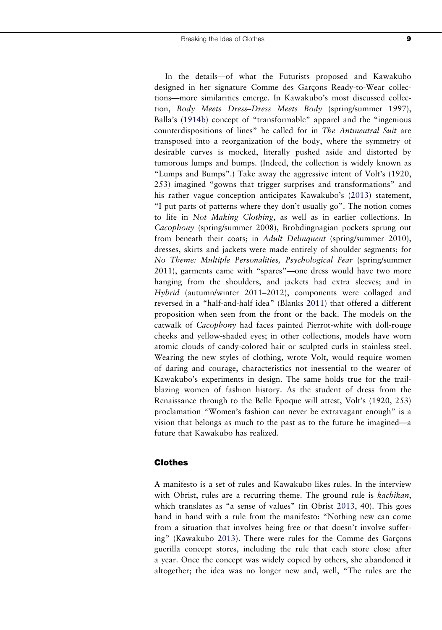Breaking the Idea of Clothes 9

<span id="page-9-0"></span>In the details—of what the Futurists proposed and Kawakubo designed in her signature Comme des Garçons Ready-to-Wear collections—more similarities emerge. In Kawakubo's most discussed collection, Body Meets Dress–Dress Meets Body (spring/summer 1997), Balla's ([1914b\)](#page-16-0) concept of "transformable" apparel and the "ingenious counterdispositions of lines" he called for in The Antineutral Suit are transposed into a reorganization of the body, where the symmetry of desirable curves is mocked, literally pushed aside and distorted by tumorous lumps and bumps. (Indeed, the collection is widely known as "Lumps and Bumps".) Take away the aggressive intent of Volt's (1920, 253) imagined "gowns that trigger surprises and transformations" and his rather vague conception anticipates Kawakubo's ([2013\)](#page-18-0) statement, "I put parts of patterns where they don't usually go". The notion comes to life in Not Making Clothing, as well as in earlier collections. In Cacophony (spring/summer 2008), Brobdingnagian pockets sprung out from beneath their coats; in Adult Delinquent (spring/summer 2010), dresses, skirts and jackets were made entirely of shoulder segments; for No Theme: Multiple Personalities, Psychological Fear (spring/summer 2011), garments came with "spares"—one dress would have two more hanging from the shoulders, and jackets had extra sleeves; and in Hybrid (autumn/winter 2011–2012), components were collaged and reversed in a "half-and-half idea" (Blanks [2011](#page-16-0)) that offered a different proposition when seen from the front or the back. The models on the catwalk of Cacophony had faces painted Pierrot-white with doll-rouge cheeks and yellow-shaded eyes; in other collections, models have worn atomic clouds of candy-colored hair or sculpted curls in stainless steel. Wearing the new styles of clothing, wrote Volt, would require women of daring and courage, characteristics not inessential to the wearer of Kawakubo's experiments in design. The same holds true for the trailblazing women of fashion history. As the student of dress from the Renaissance through to the Belle Epoque will attest, Volt's (1920, 253) proclamation "Women's fashion can never be extravagant enough" is a vision that belongs as much to the past as to the future he imagined—a future that Kawakubo has realized.

### Clothes

A manifesto is a set of rules and Kawakubo likes rules. In the interview with Obrist, rules are a recurring theme. The ground rule is kachikan, which translates as "a sense of values" (in Obrist [2013](#page-18-0), 40). This goes hand in hand with a rule from the manifesto: "Nothing new can come from a situation that involves being free or that doesn't involve suffer-ing" (Kawakubo [2013\)](#page-18-0). There were rules for the Comme des Garçons guerilla concept stores, including the rule that each store close after a year. Once the concept was widely copied by others, she abandoned it altogether; the idea was no longer new and, well, "The rules are the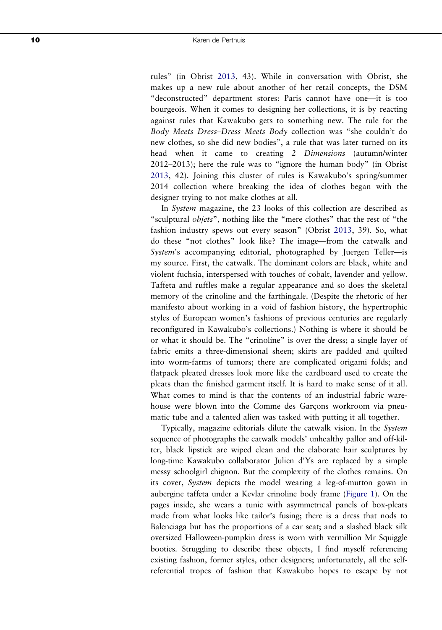rules" (in Obrist [2013,](#page-18-0) 43). While in conversation with Obrist, she makes up a new rule about another of her retail concepts, the DSM "deconstructed" department stores: Paris cannot have one—it is too bourgeois. When it comes to designing her collections, it is by reacting against rules that Kawakubo gets to something new. The rule for the Body Meets Dress–Dress Meets Body collection was "she couldn't do new clothes, so she did new bodies", a rule that was later turned on its head when it came to creating 2 Dimensions (autumn/winter 2012–2013); here the rule was to "ignore the human body" (in Obrist [2013](#page-18-0), 42). Joining this cluster of rules is Kawakubo's spring/summer 2014 collection where breaking the idea of clothes began with the designer trying to not make clothes at all.

In System magazine, the 23 looks of this collection are described as "sculptural objets", nothing like the "mere clothes" that the rest of "the fashion industry spews out every season" (Obrist [2013,](#page-18-0) 39). So, what do these "not clothes" look like? The image—from the catwalk and System's accompanying editorial, photographed by Juergen Teller-is my source. First, the catwalk. The dominant colors are black, white and violent fuchsia, interspersed with touches of cobalt, lavender and yellow. Taffeta and ruffles make a regular appearance and so does the skeletal memory of the crinoline and the farthingale. (Despite the rhetoric of her manifesto about working in a void of fashion history, the hypertrophic styles of European women's fashions of previous centuries are regularly reconfigured in Kawakubo's collections.) Nothing is where it should be or what it should be. The "crinoline" is over the dress; a single layer of fabric emits a three-dimensional sheen; skirts are padded and quilted into worm-farms of tumors; there are complicated origami folds; and flatpack pleated dresses look more like the cardboard used to create the pleats than the finished garment itself. It is hard to make sense of it all. What comes to mind is that the contents of an industrial fabric warehouse were blown into the Comme des Garçons workroom via pneumatic tube and a talented alien was tasked with putting it all together.

Typically, magazine editorials dilute the catwalk vision. In the System sequence of photographs the catwalk models' unhealthy pallor and off-kilter, black lipstick are wiped clean and the elaborate hair sculptures by long-time Kawakubo collaborator Julien d'Ys are replaced by a simple messy schoolgirl chignon. But the complexity of the clothes remains. On its cover, System depicts the model wearing a leg-of-mutton gown in aubergine taffeta under a Kevlar crinoline body frame [\(Figure 1](#page-11-0)). On the pages inside, she wears a tunic with asymmetrical panels of box-pleats made from what looks like tailor's fusing; there is a dress that nods to Balenciaga but has the proportions of a car seat; and a slashed black silk oversized Halloween-pumpkin dress is worn with vermillion Mr Squiggle booties. Struggling to describe these objects, I find myself referencing existing fashion, former styles, other designers; unfortunately, all the selfreferential tropes of fashion that Kawakubo hopes to escape by not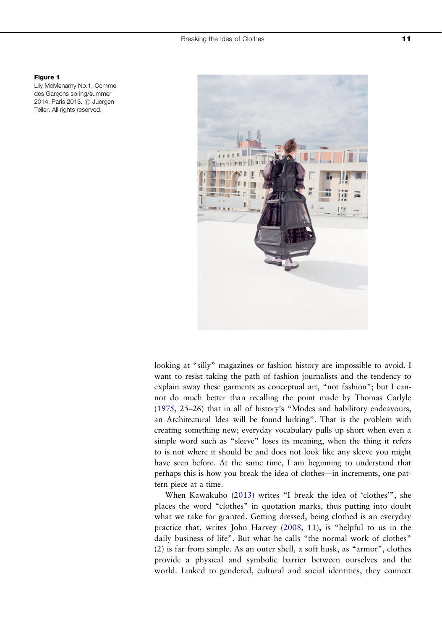<span id="page-11-0"></span>Lily McMenamy No.1, Comme des Garçons spring/summer 2014, Paris 2013. © Juergen Teller. All rights reserved.



looking at "silly" magazines or fashion history are impossible to avoid. I want to resist taking the path of fashion journalists and the tendency to explain away these garments as conceptual art, "not fashion"; but I cannot do much better than recalling the point made by Thomas Carlyle [\(1975,](#page-17-0) 25–26) that in all of history's "Modes and habilitory endeavours, an Architectural Idea will be found lurking". That is the problem with creating something new; everyday vocabulary pulls up short when even a simple word such as "sleeve" loses its meaning, when the thing it refers to is not where it should be and does not look like any sleeve you might have seen before. At the same time, I am beginning to understand that perhaps this is how you break the idea of clothes—in increments, one pattern piece at a time.

When Kawakubo [\(2013](#page-18-0)) writes "I break the idea of 'clothes'", she places the word "clothes" in quotation marks, thus putting into doubt what we take for granted. Getting dressed, being clothed is an everyday practice that, writes John Harvey [\(2008](#page-18-0), 11), is "helpful to us in the daily business of life". But what he calls "the normal work of clothes" (2) is far from simple. As an outer shell, a soft husk, as "armor", clothes provide a physical and symbolic barrier between ourselves and the world. Linked to gendered, cultural and social identities, they connect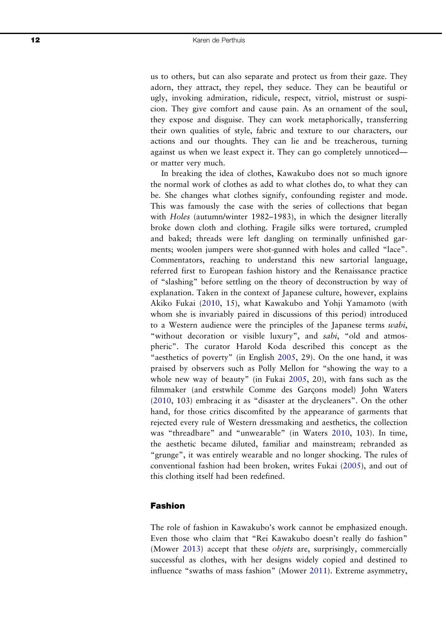<span id="page-12-0"></span>us to others, but can also separate and protect us from their gaze. They adorn, they attract, they repel, they seduce. They can be beautiful or ugly, invoking admiration, ridicule, respect, vitriol, mistrust or suspicion. They give comfort and cause pain. As an ornament of the soul, they expose and disguise. They can work metaphorically, transferring their own qualities of style, fabric and texture to our characters, our actions and our thoughts. They can lie and be treacherous, turning against us when we least expect it. They can go completely unnoticed or matter very much.

In breaking the idea of clothes, Kawakubo does not so much ignore the normal work of clothes as add to what clothes do, to what they can be. She changes what clothes signify, confounding register and mode. This was famously the case with the series of collections that began with Holes (autumn/winter 1982–1983), in which the designer literally broke down cloth and clothing. Fragile silks were tortured, crumpled and baked; threads were left dangling on terminally unfinished garments; woolen jumpers were shot-gunned with holes and called "lace". Commentators, reaching to understand this new sartorial language, referred first to European fashion history and the Renaissance practice of "slashing" before settling on the theory of deconstruction by way of explanation. Taken in the context of Japanese culture, however, explains Akiko Fukai ([2010,](#page-17-0) 15), what Kawakubo and Yohji Yamamoto (with whom she is invariably paired in discussions of this period) introduced to a Western audience were the principles of the Japanese terms *wabi*, "without decoration or visible luxury", and sabi, "old and atmospheric". The curator Harold Koda described this concept as the "aesthetics of poverty" (in English [2005](#page-17-0), 29). On the one hand, it was praised by observers such as Polly Mellon for "showing the way to a whole new way of beauty" (in Fukai [2005](#page-17-0), 20), with fans such as the filmmaker (and erstwhile Comme des Garçons model) John Waters [\(2010](#page-19-0), 103) embracing it as "disaster at the drycleaners". On the other hand, for those critics discomfited by the appearance of garments that rejected every rule of Western dressmaking and aesthetics, the collection was "threadbare" and "unwearable" (in Waters [2010,](#page-19-0) 103). In time, the aesthetic became diluted, familiar and mainstream; rebranded as "grunge", it was entirely wearable and no longer shocking. The rules of conventional fashion had been broken, writes Fukai [\(2005](#page-17-0)), and out of this clothing itself had been redefined.

#### Fashion

The role of fashion in Kawakubo's work cannot be emphasized enough. Even those who claim that "Rei Kawakubo doesn't really do fashion" (Mower [2013](#page-18-0)) accept that these objets are, surprisingly, commercially successful as clothes, with her designs widely copied and destined to influence "swaths of mass fashion" (Mower [2011\)](#page-18-0). Extreme asymmetry,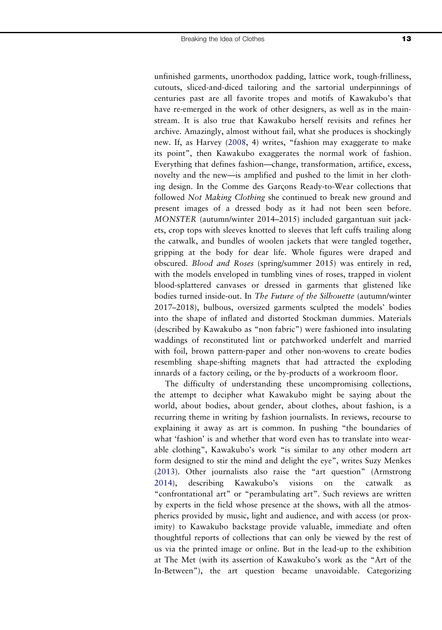<span id="page-13-0"></span>unfinished garments, unorthodox padding, lattice work, tough-frilliness, cutouts, sliced-and-diced tailoring and the sartorial underpinnings of centuries past are all favorite tropes and motifs of Kawakubo's that have re-emerged in the work of other designers, as well as in the mainstream. It is also true that Kawakubo herself revisits and refines her archive. Amazingly, almost without fail, what she produces is shockingly new. If, as Harvey ([2008,](#page-18-0) 4) writes, "fashion may exaggerate to make its point", then Kawakubo exaggerates the normal work of fashion. Everything that defines fashion—change, transformation, artifice, excess, novelty and the new—is amplified and pushed to the limit in her clothing design. In the Comme des Garcons Ready-to-Wear collections that followed Not Making Clothing she continued to break new ground and present images of a dressed body as it had not been seen before. MONSTER (autumn/winter 2014–2015) included gargantuan suit jackets, crop tops with sleeves knotted to sleeves that left cuffs trailing along the catwalk, and bundles of woolen jackets that were tangled together, gripping at the body for dear life. Whole figures were draped and obscured. Blood and Roses (spring/summer 2015) was entirely in red, with the models enveloped in tumbling vines of roses, trapped in violent blood-splattered canvases or dressed in garments that glistened like bodies turned inside-out. In The Future of the Silhouette (autumn/winter 2017–2018), bulbous, oversized garments sculpted the models' bodies into the shape of inflated and distorted Stockman dummies. Materials (described by Kawakubo as "non fabric") were fashioned into insulating waddings of reconstituted lint or patchworked underfelt and married with foil, brown pattern-paper and other non-wovens to create bodies resembling shape-shifting magnets that had attracted the exploding innards of a factory ceiling, or the by-products of a workroom floor.

The difficulty of understanding these uncompromising collections, the attempt to decipher what Kawakubo might be saying about the world, about bodies, about gender, about clothes, about fashion, is a recurring theme in writing by fashion journalists. In reviews, recourse to explaining it away as art is common. In pushing "the boundaries of what 'fashion' is and whether that word even has to translate into wearable clothing", Kawakubo's work "is similar to any other modern art form designed to stir the mind and delight the eye", writes Suzy Menkes [\(2013](#page-18-0)). Other journalists also raise the "art question" (Armstrong [2014](#page-16-0)), describing Kawakubo's visions on the catwalk "confrontational art" or "perambulating art". Such reviews are written by experts in the field whose presence at the shows, with all the atmospherics provided by music, light and audience, and with access (or proximity) to Kawakubo backstage provide valuable, immediate and often thoughtful reports of collections that can only be viewed by the rest of us via the printed image or online. But in the lead-up to the exhibition at The Met (with its assertion of Kawakubo's work as the "Art of the In-Between"), the art question became unavoidable. Categorizing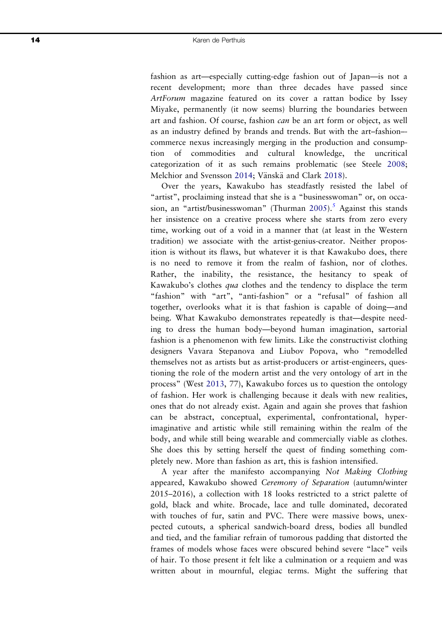<span id="page-14-0"></span>fashion as art—especially cutting-edge fashion out of Japan—is not a recent development; more than three decades have passed since ArtForum magazine featured on its cover a rattan bodice by Issey Miyake, permanently (it now seems) blurring the boundaries between art and fashion. Of course, fashion can be an art form or object, as well as an industry defined by brands and trends. But with the art–fashion– commerce nexus increasingly merging in the production and consumption of commodities and cultural knowledge, the uncritical categorization of it as such remains problematic (see Steele [2008](#page-18-0); Melchior and Svensson [2014](#page-18-0); Vänskä and Clark [2018](#page-19-0)).

Over the years, Kawakubo has steadfastly resisted the label of "artist", proclaiming instead that she is a "businesswoman" or, on occa-sion, an "artist/businesswoman" (Thurman [2005](#page-18-0)).<sup>[5](#page-16-0)</sup> Against this stands her insistence on a creative process where she starts from zero every time, working out of a void in a manner that (at least in the Western tradition) we associate with the artist-genius-creator. Neither proposition is without its flaws, but whatever it is that Kawakubo does, there is no need to remove it from the realm of fashion, nor of clothes. Rather, the inability, the resistance, the hesitancy to speak of Kawakubo's clothes qua clothes and the tendency to displace the term "fashion" with "art", "anti-fashion" or a "refusal" of fashion all together, overlooks what it is that fashion is capable of doing—and being. What Kawakubo demonstrates repeatedly is that—despite needing to dress the human body—beyond human imagination, sartorial fashion is a phenomenon with few limits. Like the constructivist clothing designers Vavara Stepanova and Liubov Popova, who "remodelled themselves not as artists but as artist-producers or artist-engineers, questioning the role of the modern artist and the very ontology of art in the process" (West [2013](#page-19-0), 77), Kawakubo forces us to question the ontology of fashion. Her work is challenging because it deals with new realities, ones that do not already exist. Again and again she proves that fashion can be abstract, conceptual, experimental, confrontational, hyperimaginative and artistic while still remaining within the realm of the body, and while still being wearable and commercially viable as clothes. She does this by setting herself the quest of finding something completely new. More than fashion as art, this is fashion intensified.

A year after the manifesto accompanying Not Making Clothing appeared, Kawakubo showed Ceremony of Separation (autumn/winter 2015–2016), a collection with 18 looks restricted to a strict palette of gold, black and white. Brocade, lace and tulle dominated, decorated with touches of fur, satin and PVC. There were massive bows, unexpected cutouts, a spherical sandwich-board dress, bodies all bundled and tied, and the familiar refrain of tumorous padding that distorted the frames of models whose faces were obscured behind severe "lace" veils of hair. To those present it felt like a culmination or a requiem and was written about in mournful, elegiac terms. Might the suffering that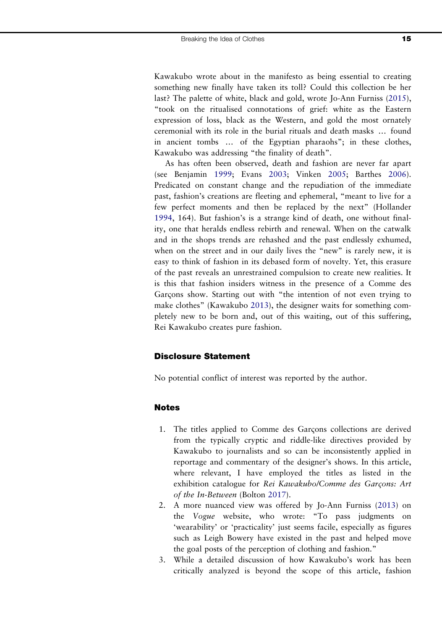<span id="page-15-0"></span>Kawakubo wrote about in the manifesto as being essential to creating something new finally have taken its toll? Could this collection be her last? The palette of white, black and gold, wrote Jo-Ann Furniss ([2015\)](#page-17-0), "took on the ritualised connotations of grief: white as the Eastern expression of loss, black as the Western, and gold the most ornately ceremonial with its role in the burial rituals and death masks … found in ancient tombs … of the Egyptian pharaohs"; in these clothes, Kawakubo was addressing "the finality of death".

As has often been observed, death and fashion are never far apart (see Benjamin [1999](#page-16-0); Evans [2003](#page-17-0); Vinken [2005](#page-19-0); Barthes [2006\)](#page-16-0). Predicated on constant change and the repudiation of the immediate past, fashion's creations are fleeting and ephemeral, "meant to live for a few perfect moments and then be replaced by the next" (Hollander [1994](#page-18-0), 164). But fashion's is a strange kind of death, one without finality, one that heralds endless rebirth and renewal. When on the catwalk and in the shops trends are rehashed and the past endlessly exhumed, when on the street and in our daily lives the "new" is rarely new, it is easy to think of fashion in its debased form of novelty. Yet, this erasure of the past reveals an unrestrained compulsion to create new realities. It is this that fashion insiders witness in the presence of a Comme des Garçons show. Starting out with "the intention of not even trying to make clothes" (Kawakubo [2013\)](#page-18-0), the designer waits for something completely new to be born and, out of this waiting, out of this suffering, Rei Kawakubo creates pure fashion.

#### Disclosure Statement

No potential conflict of interest was reported by the author.

#### Notes

- 1. The titles applied to Comme des Garcons collections are derived from the typically cryptic and riddle-like directives provided by Kawakubo to journalists and so can be inconsistently applied in reportage and commentary of the designer's shows. In this article, where relevant, I have employed the titles as listed in the exhibition catalogue for Rei Kawakubo/Comme des Garçons: Art of the In-Between (Bolton [2017](#page-17-0)).
- 2. A more nuanced view was offered by Jo-Ann Furniss ([2013\)](#page-17-0) on the Vogue website, who wrote: "To pass judgments on 'wearability' or 'practicality' just seems facile, especially as figures such as Leigh Bowery have existed in the past and helped move the goal posts of the perception of clothing and fashion."
- 3. While a detailed discussion of how Kawakubo's work has been critically analyzed is beyond the scope of this article, fashion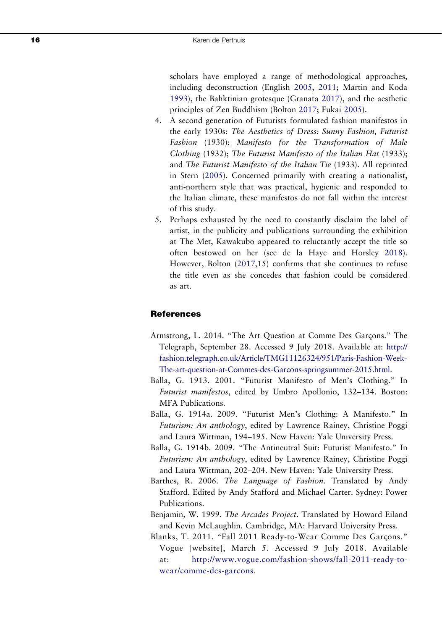<span id="page-16-0"></span>scholars have employed a range of methodological approaches, including deconstruction (English [2005](#page-17-0), [2011;](#page-17-0) Martin and Koda [1993\)](#page-18-0), the Bahktinian grotesque (Granata [2017](#page-18-0)), and the aesthetic principles of Zen Buddhism (Bolton [2017;](#page-17-0) Fukai [2005](#page-17-0)).

- 4. A second generation of Futurists formulated fashion manifestos in the early 1930s: The Aesthetics of Dress: Sunny Fashion, Futurist Fashion (1930); Manifesto for the Transformation of Male Clothing (1932); The Futurist Manifesto of the Italian Hat (1933); and The Futurist Manifesto of the Italian Tie (1933). All reprinted in Stern ([2005\)](#page-18-0). Concerned primarily with creating a nationalist, anti-northern style that was practical, hygienic and responded to the Italian climate, these manifestos do not fall within the interest of this study.
- 5. Perhaps exhausted by the need to constantly disclaim the label of artist, in the publicity and publications surrounding the exhibition at The Met, Kawakubo appeared to reluctantly accept the title so often bestowed on her (see de la Haye and Horsley [2018](#page-17-0)). However, Bolton ([2017,](#page-17-0)15) confirms that she continues to refuse the title even as she concedes that fashion could be considered as art.

### References

- Armstrong, L. [2014.](#page-13-0) "The Art Question at Comme Des Garçons." The Telegraph, September 28. Accessed 9 July 2018. Available at: [http://](http://fashion.telegraph.co.uk/Article/TMG11126324/951/Paris-Fashion-Week-The-art-question-at-Commes-des-Garcons-springsummer-2015.html) [fashion.telegraph.co.uk/Article/TMG11126324/951/Paris-Fashion-Week-](http://fashion.telegraph.co.uk/Article/TMG11126324/951/Paris-Fashion-Week-The-art-question-at-Commes-des-Garcons-springsummer-2015.html)[The-art-question-at-Commes-des-Garcons-springsummer-2015.html](http://fashion.telegraph.co.uk/Article/TMG11126324/951/Paris-Fashion-Week-The-art-question-at-Commes-des-Garcons-springsummer-2015.html).
- Balla, G. [1913.](#page-8-0) 2001. "Futurist Manifesto of Men's Clothing." In Futurist manifestos, edited by Umbro Apollonio, 132–134. Boston: MFA Publications.
- Balla, G. 1914a. 2009. "Futurist Men's Clothing: A Manifesto." In Futurism: An anthology, edited by Lawrence Rainey, Christine Poggi and Laura Wittman, 194–195. New Haven: Yale University Press.
- Balla, G. [1914b](#page-8-0). 2009. "The Antineutral Suit: Futurist Manifesto." In Futurism: An anthology, edited by Lawrence Rainey, Christine Poggi and Laura Wittman, 202–204. New Haven: Yale University Press.
- Barthes, R. [2006](#page-15-0). The Language of Fashion. Translated by Andy Stafford. Edited by Andy Stafford and Michael Carter. Sydney: Power Publications.
- Benjamin, W. [1999](#page-15-0). The Arcades Project. Translated by Howard Eiland and Kevin McLaughlin. Cambridge, MA: Harvard University Press.
- Blanks, T. [2011](#page-9-0). "Fall 2011 Ready-to-Wear Comme Des Garçons." Vogue [website], March 5. Accessed 9 July 2018. Available at: [http://www.vogue.com/fashion-shows/fall-2011-ready-to](http://www.vogue.com/fashion-shows/fall-2011-ready-to-wear/comme-des-garcons)[wear/comme-des-garcons](http://www.vogue.com/fashion-shows/fall-2011-ready-to-wear/comme-des-garcons).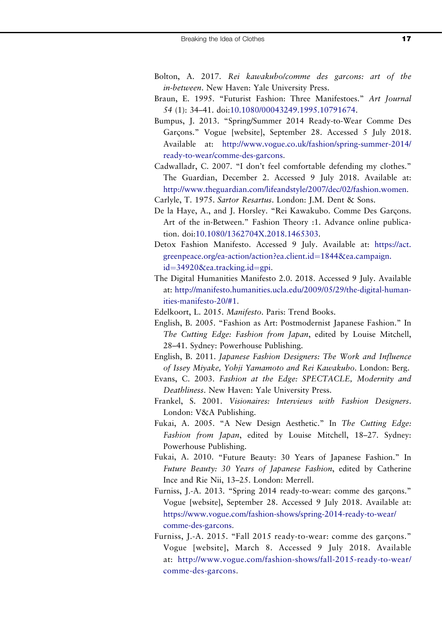- <span id="page-17-0"></span>Bolton, A. [2017.](#page-3-0) Rei kawakubo/comme des garcons: art of the in-between. New Haven: Yale University Press.
- Braun, E. [1995](#page-6-0). "Futurist Fashion: Three Manifestoes." Art Journal 54 (1): 34–41. doi:[10.1080/00043249.1995.10791674](https://doi.org/10.1080/00043249.1995.10791674).
- Bumpus, J. [2013](#page-3-0). "Spring/Summer 2014 Ready-to-Wear Comme Des Garçons." Vogue [website], September 28. Accessed 5 July 2018. Available at: [http://www.vogue.co.uk/fashion/spring-summer-2014/](http://www.vogue.co.uk/fashion/spring-summer-2014/ready-to-wear/comme-des-garcons) [ready-to-wear/comme-des-garcons.](http://www.vogue.co.uk/fashion/spring-summer-2014/ready-to-wear/comme-des-garcons)
- Cadwalladr, C. [2007.](#page-6-0) "I don't feel comfortable defending my clothes." The Guardian, December 2. Accessed 9 July 2018. Available at: [http://www.theguardian.com/lifeandstyle/2007/dec/02/fashion.women.](http://www.theguardian.com/lifeandstyle/2007/dec/02/fashion.women)
- Carlyle, T. [1975](#page-11-0). Sartor Resartus. London: J.M. Dent & Sons.
- De la Haye, A., and J. Horsley. "Rei Kawakubo. Comme Des Garçons. Art of the in-Between." Fashion Theory :1. Advance online publication. doi[:10.1080/1362704X.2018.1465303](https://doi.org/10.1080/1362704X.2018.1465303).
- Detox Fashion Manifesto. Accessed 9 July. Available at: [https://act.](https://act.greenpeace.org/ea-action/action?ea.client.id=1844&ea.campaign.id=34920&ea.tracking.id=gpi) [greenpeace.org/ea-action/action?ea.client.id](https://act.greenpeace.org/ea-action/action?ea.client.id=1844&ea.campaign.id=34920&ea.tracking.id=gpi)=1844&ea.campaign.  $id = 34920$ &ea.tracking. $id =$ gpi.
- The Digital Humanities Manifesto 2.0. 2018. Accessed 9 July. Available at: [http://manifesto.humanities.ucla.edu/2009/05/29/the-digital-human](http://manifesto.humanities.ucla.edu/2009/05/29/the-digital-humanities-manifesto-20/#1)[ities-manifesto-20/#1](http://manifesto.humanities.ucla.edu/2009/05/29/the-digital-humanities-manifesto-20/#1).
- Edelkoort, L. [2015](#page-6-0). Manifesto. Paris: Trend Books.
- English, B. [2005](#page-12-0). "Fashion as Art: Postmodernist Japanese Fashion." In The Cutting Edge: Fashion from Japan, edited by Louise Mitchell, 28–41. Sydney: Powerhouse Publishing.
- English, B. [2011.](#page-16-0) Japanese Fashion Designers: The Work and Influence of Issey Miyake, Yohji Yamamoto and Rei Kawakubo. London: Berg.
- Evans, C. [2003](#page-15-0). Fashion at the Edge: SPECTACLE, Modernity and Deathliness. New Haven: Yale University Press.
- Frankel, S. [2001.](#page-8-0) Visionaires: Interviews with Fashion Designers. London: V&A Publishing.
- Fukai, A. [2005](#page-12-0). "A New Design Aesthetic." In The Cutting Edge: Fashion from Japan, edited by Louise Mitchell, 18-27. Sydney: Powerhouse Publishing.
- Fukai, A. [2010](#page-7-0). "Future Beauty: 30 Years of Japanese Fashion." In Future Beauty: 30 Years of Japanese Fashion, edited by Catherine Ince and Rie Nii, 13–25. London: Merrell.
- Furniss, J.-A. [2013.](#page-15-0) "Spring 2014 ready-to-wear: comme des garçons." Vogue [website], September 28. Accessed 9 July 2018. Available at: [https://www.vogue.com/fashion-shows/spring-2014-ready-to-wear/](https://www.vogue.com/fashion-shows/spring-2014-ready-to-wear/comme-des-garcons) [comme-des-garcons.](https://www.vogue.com/fashion-shows/spring-2014-ready-to-wear/comme-des-garcons)
- Furniss, J.-A. [2015](#page-15-0). "Fall 2015 ready-to-wear: comme des garçons." Vogue [website], March 8. Accessed 9 July 2018. Available at: [http://www.vogue.com/fashion-shows/fall-2015-ready-to-wear/](http://www.vogue.com/fashion-shows/fall-2015-ready-to-wear/comme-des-garcons) [comme-des-garcons](http://www.vogue.com/fashion-shows/fall-2015-ready-to-wear/comme-des-garcons).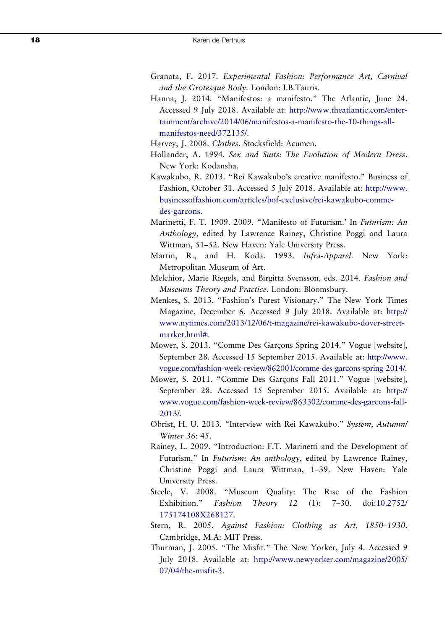- <span id="page-18-0"></span>Granata, F. [2017](#page-16-0). Experimental Fashion: Performance Art, Carnival and the Grotesque Body. London: I.B.Tauris.
- Hanna, J. [2014](#page-5-0). "Manifestos: a manifesto." The Atlantic, June 24. Accessed 9 July 2018. Available at: [http://www.theatlantic.com/enter](http://www.theatlantic.com/entertainment/archive/2014/06/manifestos-a-manifesto-the-10-things-all-manifestos-need/372135/)[tainment/archive/2014/06/manifestos-a-manifesto-the-10-things-all](http://www.theatlantic.com/entertainment/archive/2014/06/manifestos-a-manifesto-the-10-things-all-manifestos-need/372135/)[manifestos-need/372135/.](http://www.theatlantic.com/entertainment/archive/2014/06/manifestos-a-manifesto-the-10-things-all-manifestos-need/372135/)
- Harvey, J. [2008](#page-11-0). Clothes. Stocksfield: Acumen.
- Hollander, A. [1994.](#page-15-0) Sex and Suits: The Evolution of Modern Dress. New York: Kodansha.
- Kawakubo, R. [2013](#page-2-0). "Rei Kawakubo's creative manifesto." Business of Fashion, October 31. Accessed 5 July 2018. Available at: [http://www.](http://www.businessoffashion.com/articles/bof-exclusive/rei-kawakubo-comme-des-garcons) [businessoffashion.com/articles/bof-exclusive/rei-kawakubo-comme](http://www.businessoffashion.com/articles/bof-exclusive/rei-kawakubo-comme-des-garcons)[des-garcons.](http://www.businessoffashion.com/articles/bof-exclusive/rei-kawakubo-comme-des-garcons)
- Marinetti, F. T. 1909. 2009. "Manifesto of Futurism.' In Futurism: An Anthology, edited by Lawrence Rainey, Christine Poggi and Laura Wittman, 51–52. New Haven: Yale University Press.
- Martin, R., and H. Koda. [1993](#page-16-0). Infra-Apparel. New York: Metropolitan Museum of Art.
- Melchior, Marie Riegels, and Birgitta Svensson, eds. [2014](#page-14-0). Fashion and Museums Theory and Practice. London: Bloomsbury.
- Menkes, S. [2013](#page-13-0). "Fashion's Purest Visionary." The New York Times Magazine, December 6. Accessed 9 July 2018. Available at: [http://](http://www.nytimes.com/2013/12/06/t-magazine/rei-kawakubo-dover-street-market.html#) [www.nytimes.com/2013/12/06/t-magazine/rei-kawakubo-dover-street](http://www.nytimes.com/2013/12/06/t-magazine/rei-kawakubo-dover-street-market.html#)[market.html#](http://www.nytimes.com/2013/12/06/t-magazine/rei-kawakubo-dover-street-market.html#).
- Mower, S. [2013](#page-3-0). "Comme Des Garçons Spring 2014." Vogue [website], September 28. Accessed 15 September 2015. Available at: [http://www.](http://www.vogue.com/fashion-week-review/862001/comme-des-garcons-spring-2014/) [vogue.com/fashion-week-review/862001/comme-des-garcons-spring-2014/](http://www.vogue.com/fashion-week-review/862001/comme-des-garcons-spring-2014/).
- Mower, S. [2011.](#page-12-0) "Comme Des Garçons Fall 2011." Vogue [website], September 28. Accessed 15 September 2015. Available at: [http://](http://www.vogue.com/fashion-week-review/863302/comme-des-garcons-fall-2013/) [www.vogue.com/fashion-week-review/863302/comme-des-garcons-fall-](http://www.vogue.com/fashion-week-review/863302/comme-des-garcons-fall-2013/)[2013/](http://www.vogue.com/fashion-week-review/863302/comme-des-garcons-fall-2013/).
- Obrist, H. U. [2013](#page-4-0). "Interview with Rei Kawakubo." System, Autumn/ Winter 36: 45.
- Rainey, L. [2009.](#page-6-0) "Introduction: F.T. Marinetti and the Development of Futurism." In Futurism: An anthology, edited by Lawrence Rainey, Christine Poggi and Laura Wittman, 1–39. New Haven: Yale University Press.
- Steele, V. [2008.](#page-14-0) "Museum Quality: The Rise of the Fashion Exhibition." Fashion Theory 12 (1): 7–30. doi:[10.2752/](https://doi.org/10.2752/175174108X268127) [175174108X268127](https://doi.org/10.2752/175174108X268127).
- Stern, R. [2005](#page-16-0). Against Fashion: Clothing as Art, 1850–1930. Cambridge, M.A: MIT Press.
- Thurman, J. [2005.](#page-3-0) "The Misfit." The New Yorker, July 4. Accessed 9 July 2018. Available at: [http://www.newyorker.com/magazine/2005/](http://www.newyorker.com/magazine/2005/07/04/the-misfit-3) [07/04/the-misfit-3](http://www.newyorker.com/magazine/2005/07/04/the-misfit-3).